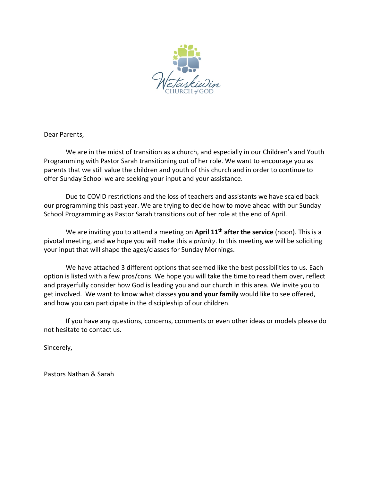

Dear Parents,

We are in the midst of transition as a church, and especially in our Children's and Youth Programming with Pastor Sarah transitioning out of her role. We want to encourage you as parents that we still value the children and youth of this church and in order to continue to offer Sunday School we are seeking your input and your assistance.

Due to COVID restrictions and the loss of teachers and assistants we have scaled back our programming this past year. We are trying to decide how to move ahead with our Sunday School Programming as Pastor Sarah transitions out of her role at the end of April.

We are inviting you to attend a meeting on **April 11th after the service** (noon). This is a pivotal meeting, and we hope you will make this a *priority*. In this meeting we will be soliciting your input that will shape the ages/classes for Sunday Mornings.

We have attached 3 different options that seemed like the best possibilities to us. Each option is listed with a few pros/cons. We hope you will take the time to read them over, reflect and prayerfully consider how God is leading you and our church in this area. We invite you to get involved. We want to know what classes **you and your family** would like to see offered, and how you can participate in the discipleship of our children.

If you have any questions, concerns, comments or even other ideas or models please do not hesitate to contact us.

Sincerely,

Pastors Nathan & Sarah